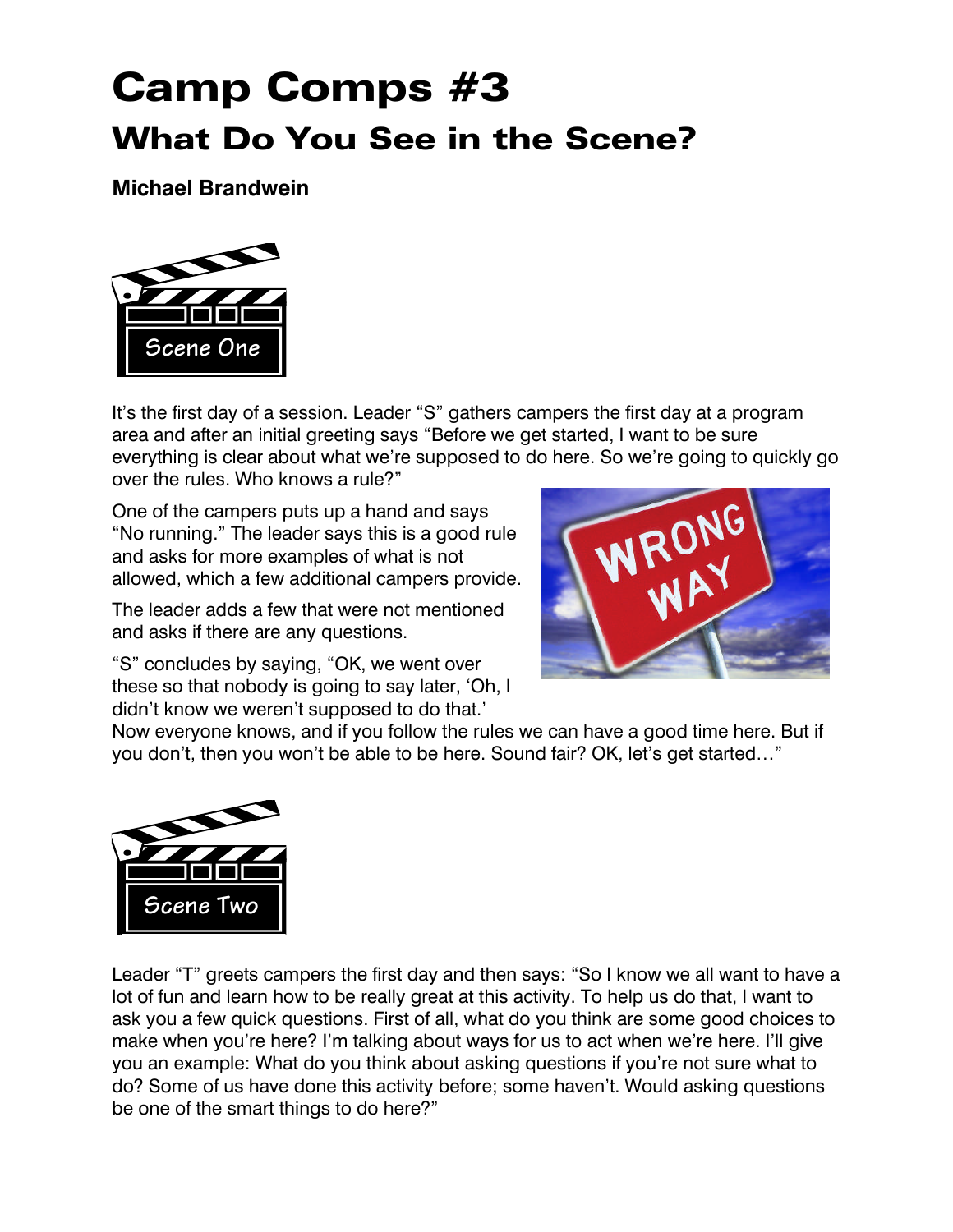## Camp Comps #3 What Do You See in the Scene?

**Michael Brandwein**



It's the first day of a session. Leader "S" gathers campers the first day at a program area and after an initial greeting says "Before we get started, I want to be sure everything is clear about what we're supposed to do here. So we're going to quickly go over the rules. Who knows a rule?"

One of the campers puts up a hand and says "No running." The leader says this is a good rule and asks for more examples of what is not allowed, which a few additional campers provide.

The leader adds a few that were not mentioned and asks if there are any questions.

"S" concludes by saying, "OK, we went over these so that nobody is going to say later, 'Oh, I didn't know we weren't supposed to do that.'



Now everyone knows, and if you follow the rules we can have a good time here. But if you don't, then you won't be able to be here. Sound fair? OK, let's get started…"



Leader "T" greets campers the first day and then says: "So I know we all want to have a lot of fun and learn how to be really great at this activity. To help us do that, I want to ask you a few quick questions. First of all, what do you think are some good choices to make when you're here? I'm talking about ways for us to act when we're here. I'll give you an example: What do you think about asking questions if you're not sure what to do? Some of us have done this activity before; some haven't. Would asking questions be one of the smart things to do here?"